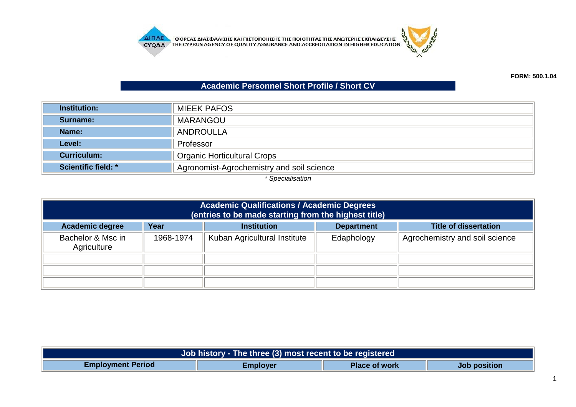

## **Academic Personnel Short Profile / Short CV**

| <b>Institution:</b>        | <b>MIEEK PAFOS</b>                        |
|----------------------------|-------------------------------------------|
| Surname:                   | <b>MARANGOU</b>                           |
| Name:                      | <b>ANDROULLA</b>                          |
| Level:                     | Professor                                 |
| <b>Curriculum:</b>         | <b>Organic Horticultural Crops</b>        |
| <b>Scientific field: *</b> | Agronomist-Agrochemistry and soil science |

*\* Specialisation*

| <b>Academic Qualifications / Academic Degrees</b><br>(entries to be made starting from the highest title) |                                                                                 |                              |            |                                |  |  |
|-----------------------------------------------------------------------------------------------------------|---------------------------------------------------------------------------------|------------------------------|------------|--------------------------------|--|--|
| <b>Academic degree</b>                                                                                    | <b>Title of dissertation</b><br>Year<br><b>Department</b><br><b>Institution</b> |                              |            |                                |  |  |
| Bachelor & Msc in<br>Agriculture                                                                          | 1968-1974                                                                       | Kuban Agricultural Institute | Edaphology | Agrochemistry and soil science |  |  |
|                                                                                                           |                                                                                 |                              |            |                                |  |  |
|                                                                                                           |                                                                                 |                              |            |                                |  |  |
|                                                                                                           |                                                                                 |                              |            |                                |  |  |

| Job history - The three (3) most recent to be registered |                 |                      |              |  |
|----------------------------------------------------------|-----------------|----------------------|--------------|--|
| <b>Employment Period</b>                                 | <b>Employer</b> | <b>Place of work</b> | Job position |  |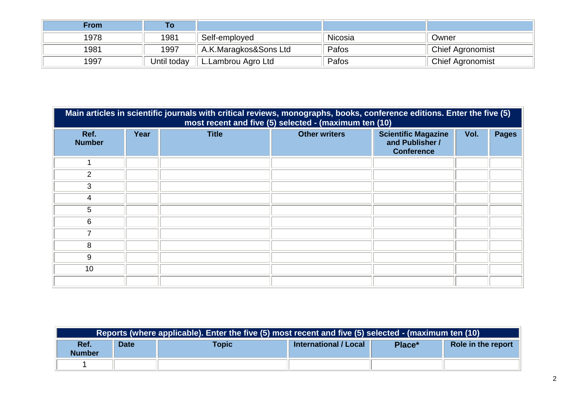| <b>From</b> |             |                       |         |                         |
|-------------|-------------|-----------------------|---------|-------------------------|
| 1978        | 1981        | Self-employed         | Nicosia | Owner                   |
| 1981        | 1997        | A.K.Maragkos&Sons Ltd | Pafos   | <b>Chief Agronomist</b> |
| 1997        | Until today | L.Lambrou Agro Ltd    | Pafos   | <b>Chief Agronomist</b> |

|                       | Main articles in scientific journals with critical reviews, monographs, books, conference editions. Enter the five (5)<br>most recent and five (5) selected - (maximum ten (10) |              |                      |                                                                    |      |              |  |  |
|-----------------------|---------------------------------------------------------------------------------------------------------------------------------------------------------------------------------|--------------|----------------------|--------------------------------------------------------------------|------|--------------|--|--|
| Ref.<br><b>Number</b> | Year                                                                                                                                                                            | <b>Title</b> | <b>Other writers</b> | <b>Scientific Magazine</b><br>and Publisher /<br><b>Conference</b> | Vol. | <b>Pages</b> |  |  |
|                       |                                                                                                                                                                                 |              |                      |                                                                    |      |              |  |  |
| $\overline{2}$        |                                                                                                                                                                                 |              |                      |                                                                    |      |              |  |  |
| 3                     |                                                                                                                                                                                 |              |                      |                                                                    |      |              |  |  |
| 4                     |                                                                                                                                                                                 |              |                      |                                                                    |      |              |  |  |
| 5                     |                                                                                                                                                                                 |              |                      |                                                                    |      |              |  |  |
| 6                     |                                                                                                                                                                                 |              |                      |                                                                    |      |              |  |  |
| 7                     |                                                                                                                                                                                 |              |                      |                                                                    |      |              |  |  |
| 8                     |                                                                                                                                                                                 |              |                      |                                                                    |      |              |  |  |
| 9                     |                                                                                                                                                                                 |              |                      |                                                                    |      |              |  |  |
| 10                    |                                                                                                                                                                                 |              |                      |                                                                    |      |              |  |  |
|                       |                                                                                                                                                                                 |              |                      |                                                                    |      |              |  |  |

| Reports (where applicable). Enter the five (5) most recent and five (5) selected - (maximum ten (10) |             |       |                       |        |                    |
|------------------------------------------------------------------------------------------------------|-------------|-------|-----------------------|--------|--------------------|
| Ref.<br><b>Number</b>                                                                                | <b>Date</b> | Topic | International / Local | Place* | Role in the report |
|                                                                                                      |             |       |                       |        |                    |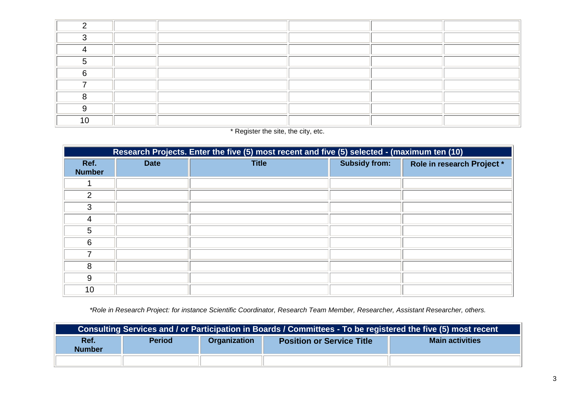| C.     |  |  |  |
|--------|--|--|--|
| C.     |  |  |  |
|        |  |  |  |
|        |  |  |  |
| $\sim$ |  |  |  |
|        |  |  |  |
|        |  |  |  |
|        |  |  |  |
|        |  |  |  |

\* Register the site, the city, etc.

|                       | Research Projects. Enter the five (5) most recent and five (5) selected - (maximum ten (10) |              |                      |                            |  |  |
|-----------------------|---------------------------------------------------------------------------------------------|--------------|----------------------|----------------------------|--|--|
| Ref.<br><b>Number</b> | <b>Date</b>                                                                                 | <b>Title</b> | <b>Subsidy from:</b> | Role in research Project * |  |  |
|                       |                                                                                             |              |                      |                            |  |  |
| $\overline{2}$        |                                                                                             |              |                      |                            |  |  |
| 3                     |                                                                                             |              |                      |                            |  |  |
| 4                     |                                                                                             |              |                      |                            |  |  |
| 5                     |                                                                                             |              |                      |                            |  |  |
| 6                     |                                                                                             |              |                      |                            |  |  |
| 7                     |                                                                                             |              |                      |                            |  |  |
| 8                     |                                                                                             |              |                      |                            |  |  |
| 9                     |                                                                                             |              |                      |                            |  |  |
| 10                    |                                                                                             |              |                      |                            |  |  |

*\*Role in Research Project: for instance Scientific Coordinator, Research Team Member, Researcher, Assistant Researcher, others.*

| Consulting Services and / or Participation in Boards / Committees - To be registered the five (5) most recent |               |              |                                  |                        |  |
|---------------------------------------------------------------------------------------------------------------|---------------|--------------|----------------------------------|------------------------|--|
| Ref.<br><b>Number</b>                                                                                         | <b>Period</b> | Organization | <b>Position or Service Title</b> | <b>Main activities</b> |  |
|                                                                                                               |               |              |                                  |                        |  |